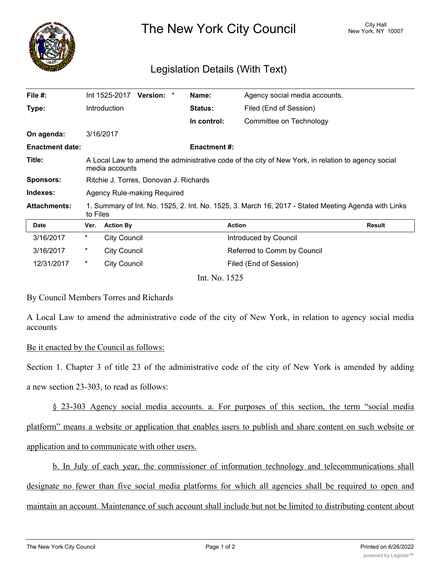

The New York City Council New York, NY 10007

## Legislation Details (With Text)

| File #:                |                                                                                                                      | Int 1525-2017       | Version: * |  | Name:              | Agency social media accounts. |               |
|------------------------|----------------------------------------------------------------------------------------------------------------------|---------------------|------------|--|--------------------|-------------------------------|---------------|
| Type:                  |                                                                                                                      | Introduction        |            |  | <b>Status:</b>     | Filed (End of Session)        |               |
|                        |                                                                                                                      |                     |            |  | In control:        | Committee on Technology       |               |
| On agenda:             |                                                                                                                      | 3/16/2017           |            |  |                    |                               |               |
| <b>Enactment date:</b> |                                                                                                                      |                     |            |  | <b>Enactment#:</b> |                               |               |
| Title:                 | A Local Law to amend the administrative code of the city of New York, in relation to agency social<br>media accounts |                     |            |  |                    |                               |               |
| <b>Sponsors:</b>       | Ritchie J. Torres, Donovan J. Richards                                                                               |                     |            |  |                    |                               |               |
| Indexes:               | Agency Rule-making Required                                                                                          |                     |            |  |                    |                               |               |
| <b>Attachments:</b>    | 1. Summary of Int. No. 1525, 2. Int. No. 1525, 3. March 16, 2017 - Stated Meeting Agenda with Links<br>to Files      |                     |            |  |                    |                               |               |
| <b>Date</b>            | Ver.                                                                                                                 | <b>Action By</b>    |            |  |                    | <b>Action</b>                 | <b>Result</b> |
| 3/16/2017              | $\ast$                                                                                                               | <b>City Council</b> |            |  |                    | Introduced by Council         |               |
| 3/16/2017              | $^\star$                                                                                                             | <b>City Council</b> |            |  |                    | Referred to Comm by Council   |               |
| 12/31/2017             | $\star$                                                                                                              | <b>City Council</b> |            |  |                    | Filed (End of Session)        |               |
|                        |                                                                                                                      |                     |            |  | Int. No. 1525      |                               |               |

## By Council Members Torres and Richards

A Local Law to amend the administrative code of the city of New York, in relation to agency social media accounts

## Be it enacted by the Council as follows:

Section 1. Chapter 3 of title 23 of the administrative code of the city of New York is amended by adding a new section 23-303, to read as follows:

§ 23-303 Agency social media accounts. a. For purposes of this section, the term "social media platform" means a website or application that enables users to publish and share content on such website or application and to communicate with other users.

b. In July of each year, the commissioner of information technology and telecommunications shall designate no fewer than five social media platforms for which all agencies shall be required to open and maintain an account. Maintenance of such account shall include but not be limited to distributing content about